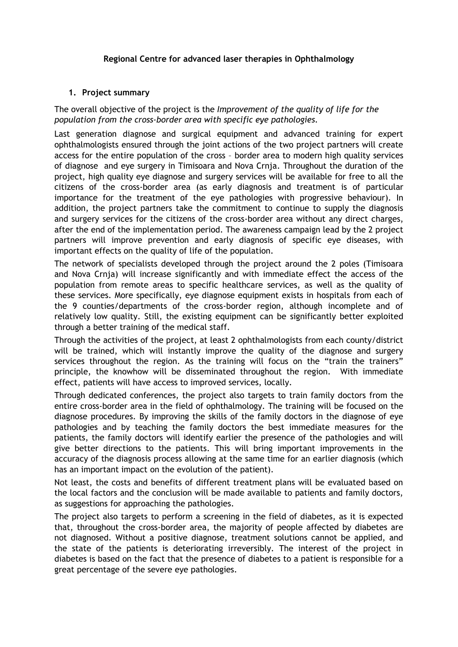## **Regional Centre for advanced laser therapies in Ophthalmology**

## **1. Project summary**

The overall objective of the project is the *Improvement of the quality of life for the population from the cross-border area with specific eye pathologies.* 

Last generation diagnose and surgical equipment and advanced training for expert ophthalmologists ensured through the joint actions of the two project partners will create access for the entire population of the cross – border area to modern high quality services of diagnose and eye surgery in Timisoara and Nova Crnja. Throughout the duration of the project, high quality eye diagnose and surgery services will be available for free to all the citizens of the cross-border area (as early diagnosis and treatment is of particular importance for the treatment of the eye pathologies with progressive behaviour). In addition, the project partners take the commitment to continue to supply the diagnosis and surgery services for the citizens of the cross-border area without any direct charges, after the end of the implementation period. The awareness campaign lead by the 2 project partners will improve prevention and early diagnosis of specific eye diseases, with important effects on the quality of life of the population.

The network of specialists developed through the project around the 2 poles (Timisoara and Nova Crnja) will increase significantly and with immediate effect the access of the population from remote areas to specific healthcare services, as well as the quality of these services. More specifically, eye diagnose equipment exists in hospitals from each of the 9 counties/departments of the cross-border region, although incomplete and of relatively low quality. Still, the existing equipment can be significantly better exploited through a better training of the medical staff.

Through the activities of the project, at least 2 ophthalmologists from each county/district will be trained, which will instantly improve the quality of the diagnose and surgery services throughout the region. As the training will focus on the "train the trainers" principle, the knowhow will be disseminated throughout the region. With immediate effect, patients will have access to improved services, locally.

Through dedicated conferences, the project also targets to train family doctors from the entire cross-border area in the field of ophthalmology. The training will be focused on the diagnose procedures. By improving the skills of the family doctors in the diagnose of eye pathologies and by teaching the family doctors the best immediate measures for the patients, the family doctors will identify earlier the presence of the pathologies and will give better directions to the patients. This will bring important improvements in the accuracy of the diagnosis process allowing at the same time for an earlier diagnosis (which has an important impact on the evolution of the patient).

Not least, the costs and benefits of different treatment plans will be evaluated based on the local factors and the conclusion will be made available to patients and family doctors, as suggestions for approaching the pathologies.

The project also targets to perform a screening in the field of diabetes, as it is expected that, throughout the cross-border area, the majority of people affected by diabetes are not diagnosed. Without a positive diagnose, treatment solutions cannot be applied, and the state of the patients is deteriorating irreversibly. The interest of the project in diabetes is based on the fact that the presence of diabetes to a patient is responsible for a great percentage of the severe eye pathologies.